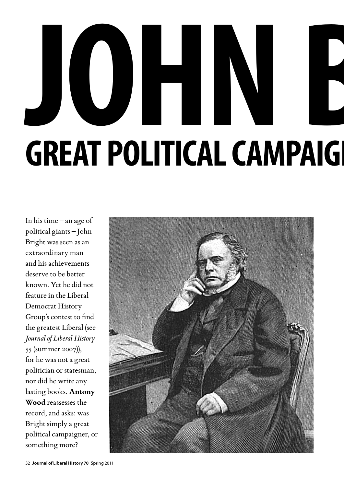## **JOHNE GREAT POLITICAL CAMPAIG**

In his time – an age of political giants – John Bright was seen as an extraordinary man and his achievements deserve to be better known. Yet he did not feature in the Liberal Democrat History Group's contest to find the greatest Liberal (see *Journal of Liberal History* 55 (summer 2007)), for he was not a great politician or statesman, nor did he write any lasting books. **Antony Wood** reassesses the record, and asks: was Bright simply a great political campaigner, or something more?

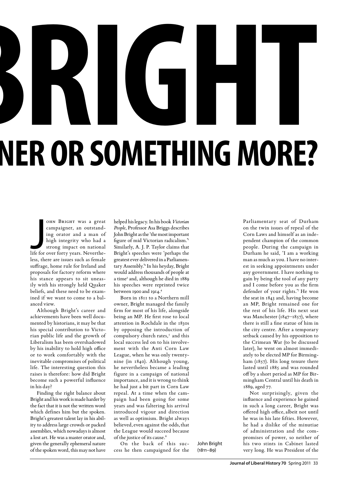## **JRIGHT** NER OR SOMETHING MORE?

OHN BRIGHT WAS a great<br>campaigner, an outstand-<br>ing orator and a man of<br>high integrity who had a<br>strong impact on national<br>life for over forty years. Nevertheohn Bright was a great campaigner, an outstanding orator and a man of high integrity who had a strong impact on national less, there are issues such as female suffrage, home rule for Ireland and proposals for factory reform where his stance appears to sit uneasily with his strongly held Quaker beliefs, and these need to be examined if we want to come to a balanced view.

Although Bright's career and achievements have been well documented by historians, it may be that his special contribution to Victorian public life and the growth of Liberalism has been overshadowed by his inability to hold high office or to work comfortably with the inevitable compromises of political life. The interesting question this raises is therefore: how did Bright become such a powerful influence in his day?

Finding the right balance about Bright and his work is made harder by the fact that it is not the written word which defines him but the spoken. Bright's greatest talent lay in his ability to address large crowds or packed assemblies, which nowadays is almost a lost art. He was a master orator and, given the generally ephemeral nature of the spoken word, this may not have

helped his legacy. In his book *Victorian People*, Professor Asa Briggs describes John Bright as the 'the most important figure of mid Victorian radicalism.'1 Similarly, A. J. P. Taylor claims that Bright's speeches were 'perhaps the greatest ever delivered in a Parliamentary Assembly.'2 In his heyday, Bright would address thousands of people at a time<sup>3</sup> and, although he died in 1889 his speeches were reprinted twice between 1900 and 1914.4

Born in 1811 to a Northern mill owner, Bright managed the family firm for most of his life, alongside being an MP. He first rose to local attention in Rochdale in the 1830s by opposing the introduction of compulsory church rates,<sup>5</sup> and this local success led on to his involvement with the Anti Corn Law League, when he was only twentynine (in 1840). Although young, he nevertheless became a leading figure in a campaign of national importance, and it is wrong to think he had just a bit part in Corn Law repeal. At a time when the campaign had been going for some years and was faltering his arrival introduced vigour and direction as well as optimism. Bright always believed, even against the odds, that the League would succeed because of the justice of its cause.<sup>6</sup>

On the back of this success he then campaigned for the John Bright  $(1811 - 89)$ 

Parliamentary seat of Durham on the twin issues of repeal of the Corn Laws and himself as an independent champion of the common people. During the campaign in Durham he said, 'I am a working man as much as you. I have no interest in seeking appointments under any government. I have nothing to gain by being the tool of any party and I come before you as the firm defender of your rights.'7 He won the seat in 1843 and, having become an MP, Bright remained one for the rest of his life. His next seat was Manchester (1847–1857), where there is still a fine statue of him in the city centre. After a temporary setback caused by his opposition to the Crimean War (to be discussed later), he went on almost immediately to be elected MP for Birmingham (1857). His long tenure there lasted until 1885 and was rounded off by a short period as MP for Birmingham Central until his death in 1889, aged 77.

Not surprisingly, given the influence and experience he gained in such a long career, Bright was offered high office,albeit not until he was in his late fifties. However, he had a dislike of the minutiae of administration and the compromises of power, so neither of his two stints in Cabinet lasted very long. He was President of the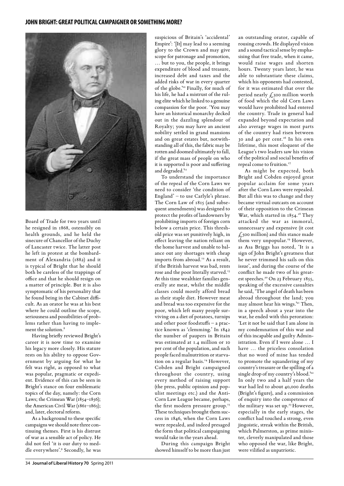

Board of Trade for two years until he resigned in 1868, ostensibly on health grounds, and he held the sinecure of Chancellor of the Duchy of Lancaster twice. The latter post he left in protest at the bombardment of Alexandria (1882) and it is typical of Bright that he should both be careless of the trappings of office and that he should resign on a matter of principle. But it is also symptomatic of his personality that he found being in the Cabinet difficult. As an orator he was at his best where he could outline the scope, seriousness and possibilities of problems rather than having to implement the solution.<sup>8</sup>

Having briefly reviewed Bright's career it is now time to examine his legacy more closely. His stature rests on his ability to oppose Government by arguing for what he felt was right, as opposed to what was popular, pragmatic or expedient. Evidence of this can be seen in Bright's stance on four emblematic topics of the day, namely: the Corn Laws; the Crimean War (1854–1856); the American Civil War (1861-1865); and, later, electoral reform.

As a background to these specific campaigns we should note three continuing themes. First is his distrust of war as a sensible act of policy. He did not feel 'it is our duty to meddle everywhere'.9 Secondly, he was suspicious of Britain's 'accidental' Empire': '[It] may lead to a seeming glory to the Crown and may give scope for patronage and promotion, … but to you, the people, it brings expenditure of blood and treasure, increased debt and taxes and the added risks of war in every quarter of the globe.'10 Finally, for much of his life, he had a mistrust of the ruling elite which he linked to a genuine compassion for the poor. 'You may have an historical monarchy decked out in the dazzling splendour of Royalty; you may have an ancient nobility settled in grand mansions and on great estates but, notwithstanding all of this, the fabric may be rotten and doomed ultimately to fall, if the great mass of people on who it is supported is poor and suffering and degraded.'<sup>11</sup>

To understand the importance of the repeal of the Corn Laws we need to consider 'the condition of England' – to use Carlyle's phrase. The Corn Law of 1815 (and subsequent amendments) was designed to protect the profits of landowners by prohibiting imports of foreign corn below a certain price. This threshold price was set punitively high, in effect leaving the nation reliant on the home harvest and unable to balance out any shortages with cheap imports from abroad.<sup>12</sup> As a result, if the British harvest was bad, rents rose and the poor literally starved.<sup>13</sup> At this time wealthier families generally ate meat, whilst the middle classes could mostly afford bread as their staple diet. However meat and bread was too expensive for the poor, which left many people surviving on a diet of potatoes, turnips and other poor foodstuffs – a practice known as 'clemming.' In 1842 the number of paupers in Britain was estimated at 1.4 million or 10 per cent of the population, and such people faced malnutrition or starvation on a regular basis.<sup>14</sup> However, Cobden and Bright campaigned throughout the country, using every method of raising support (the press, public opinion and populist meetings etc.) and the Anti-Corn Law League became, perhaps, the first modern pressure group.<sup>15</sup> These techniques brought them success in 1846, when the Corn Laws were repealed, and indeed presaged the form that political campaigning would take in the years ahead.

During this campaign Bright showed himself to be more than just an outstanding orator, capable of rousing crowds. He displayed vision and a sound tactical sense by emphasising that free trade, when it came, would raise wages and shorten hours. Twenty years later, he was able to substantiate these claims, which his opponents had contested, for it was estimated that over the period nearly  $f$ , soo million worth of food which the old Corn Laws would have prohibited had entered the country. Trade in general had expanded beyond expectation and also average wages in most parts of the country had risen between 30 and 40 per cent.16 In his own lifetime, this most eloquent of the League's two leaders saw his vision of the political and social benefits of repeal come to fruition.<sup>17</sup>

As might be expected, both Bright and Cobden enjoyed great popular acclaim for some years after the Corn Laws were repealed. But all this was to change and they became virtual outcasts on account of their opposition to the Crimean War, which started in 1854.<sup>18</sup> They attacked the war as immoral, unnecessary and expensive (it cost  $f<sub>500</sub>$  million) and this stance made them very unpopular.<sup>19</sup> However, as Asa Briggs has noted, 'It is a sign of John Bright's greatness that he never trimmed his sails on this issue', and during the course of the conflict he made two of his greatest speeches.<sup>20</sup> On 23 February 1855, speaking of the excessive casualties he said, 'The angel of death has been abroad throughout the land; you may almost hear his wings.'21 Then, in a speech about a year into the war, he ended with this peroration: 'Let it not be said that I am alone in my condemnation of this war and of this incapable and guilty Administration. Even if I were alone … I have … the priceless consolation that no word of mine has tended to promote the squandering of my country's treasure or the spilling of a single drop of my country's blood.'22 In only two and a half years the war had led to about 40,000 deaths (Bright's figure), and a commission of enquiry into the competence of the military was set up.<sup>23</sup> However, especially in the early stages, the conflict had touched a strong, even jingoistic, streak within the British, which Palmerston, as prime minister, cleverly manipulated and those who opposed the war, like Bright, were vilified as unpatriotic.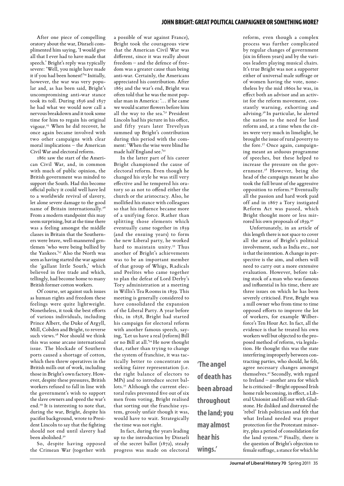## **john bright: great political campaigner or somethingmore?**

After one piece of compelling oratory about the war, Disraeli complimented him saying, 'I would give all that I ever had to have made that speech.' Bright's reply was typically severe: 'Well, you might have made it if you had been honest!'24 Initially, however, the war was very popular and, as has been said, Bright's uncompromising anti-war stance took its toll. During 1856 and 1857 he had what we would now call a nervous breakdown and it took some time for him to regain his original vigour.25 When he did recover, he once again became involved with two other campaigns with clear moral implications – the American Civil War and electoral reform.

1861 saw the start of the American Civil War, and, in common with much of public opinion, the British government was minded to support the South. Had this become official policy it could well have led to a worldwide revival of slavery, let alone severe damage to the good name of Britain internationally.<sup>26</sup> From a modern standpoint this may seem surprising, but at the time there was a feeling amongst the middle classes in Britain that the Southerners were brave, well-mannered gentlemen 'who were being bullied by the Yankees.'27 Also the North was seen as having started the war against the 'gallant little South,' which believed in free trade and which, tellingly, had become home to many British former cotton workers.

Of course, set against such issues as human rights and freedom these feelings were quite lightweight. Nonetheless, it took the best efforts of various individuals, including Prince Albert, the Duke of Argyll, Mill, Cobden and Bright, to reverse such views.<sup>28</sup> Nor should we think this was some arcane international issue. The blockade of Southern ports caused a shortage of cotton, which then threw operatives in the British mills out of work, including those in Bright's own factory. However, despite these pressures, British workers refused to fall in line with the government's wish to support the slave owners and speed the war's end.29 It is interesting to note that, during the war, Bright, despite his pacifist background, wrote to President Lincoln to say that the fighting should not end until slavery had been abolished.<sup>30</sup>

So, despite having opposed the Crimean War (together with a possible of war against France), Bright took the courageous view that the American Civil War was different, since it was really about freedom – and the defence of freedom was a greater cause than being anti-war. Certainly, the Americans appreciated his contribution. After 1865 and the war's end, Bright was often told that he was the most popular man in America: '… if he came we would scatter flowers before him all the way to the sea.'31 President Lincoln had his picture in his office, and fifty years later Trevelyan summed up Bright's contribution during this period with the comment: 'When the wise were blind he made half England see.'32

In the latter part of his career Bright championed the cause of electoral reform. Even though he changed his style he was still very effective and he tempered his oratory so as not to offend either the church or the aristocracy. Also, he mollified his stance with colleagues so that his influence became more of a unifying force. Rather than splitting those elements which eventually came together in 1859 (and the ensuing years) to form the new Liberal party, he worked hard to maintain unity.<sup>33</sup> Thus another of Bright's achievements was to be an important member of that group of Whigs, Radicals and Peelites who came together to plan the defeat of Lord Derby's Tory administration at a meeting in Willis's Tea Rooms in 1859. This meeting is generally considered to have consolidated the expansion of the Liberal Party. A year before this, in 1858, Bright had started his campaign for electoral reform with another famous speech, saying, 'Let us have a real (reform) Bill or no Bill at all.'34 He now thought that, rather than trying to change the system of franchise, it was tactically better to concentrate on seeking fairer representation (i.e. the right balance of electors to MPs) and to introduce secret ballots.<sup>35</sup> Although the current electoral rules prevented five out of six men from voting, Bright realised that sorting out the franchise system, grossly unfair though it was, would have to wait. Strategically the time was not right.

In fact, during the years leading up to the introduction by Disraeli of the secret ballot (1872), steady progress was made on electoral **'The angel of death has been abroad throughout the land; you may almost hear his wings.'**

reform, even though a complex process was further complicated by regular changes of government (six in fifteen years) and by the various leaders playing musical chairs. It's true Bright was not a supporter either of universal male suffrage or of women having the vote, nonetheless by the mid 1860s he was, in effect both an advisor and an activist for the reform movement, constantly warning, exhorting and advising.36 In particular, he alerted the nation to the need for land reform and, at a time when the cities were very much in limelight, he brought the issue of rural poverty to the fore.37 Once again, campaigning meant an arduous programme of speeches, but these helped to increase the pressure on the government.38 However, being the head of the campaign meant he also took the full brunt of the aggressive opposition to reform.39 Eventually all the passion and hard work paid off and in 1867 a Tory instigated Reform Act was passed, which Bright thought more or less mirrored his own proposals of 1859.40

Unfortunately, in an article of this length there is not space to cover all the areas of Bright's political involvement, such as India etc., nor is that the intention. A change in perspective is the aim, and others will need to carry out a more extensive evaluation. However, before taking stock of a man who was famous and influential in his time, there are three issues on which he has been severely criticised. First, Bright was a mill owner who from time to time opposed efforts to improve the lot of workers, for example Wilberforce's Ten Hour Act. In fact, all the evidence is that he treated his own workers well but objected to the proposed method of reform, via legislation. He thought this was the state interfering improperly between contracting parties, who should, he felt, agree necessary changes amongst themselves.41 Secondly, with regard to Ireland – another area for which he is criticised – Bright opposed Irish home rule becoming, in effect, a Liberal Unionist and fell out with Gladstone. He disliked and distrusted the 'rebel' Irish politicians and felt that what Ireland needed was proper protection for the Protestant minority, plus a period of consolidation for the land system.42 Finally, there is the question of Bright's objection to female suffrage, a stance for which he